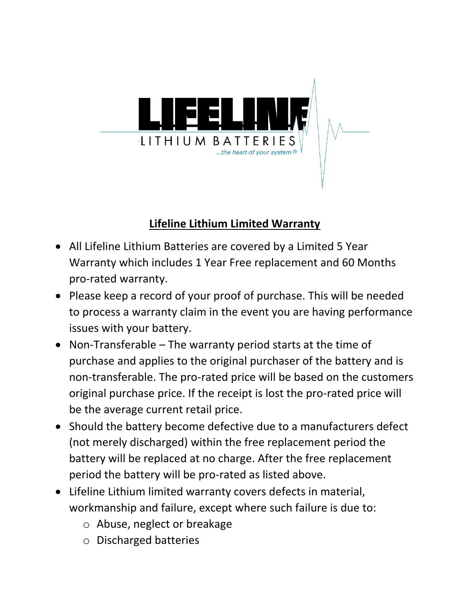

# **Lifeline Lithium Limited Warranty**

- All Lifeline Lithium Batteries are covered by a Limited 5 Year Warranty which includes 1 Year Free replacement and 60 Months pro-rated warranty.
- Please keep a record of your proof of purchase. This will be needed to process a warranty claim in the event you are having performance issues with your battery.
- Non-Transferable The warranty period starts at the time of purchase and applies to the original purchaser of the battery and is non-transferable. The pro-rated price will be based on the customers original purchase price. If the receipt is lost the pro-rated price will be the average current retail price.
- Should the battery become defective due to a manufacturers defect (not merely discharged) within the free replacement period the battery will be replaced at no charge. After the free replacement period the battery will be pro-rated as listed above.
- Lifeline Lithium limited warranty covers defects in material, workmanship and failure, except where such failure is due to:
	- o Abuse, neglect or breakage
	- o Discharged batteries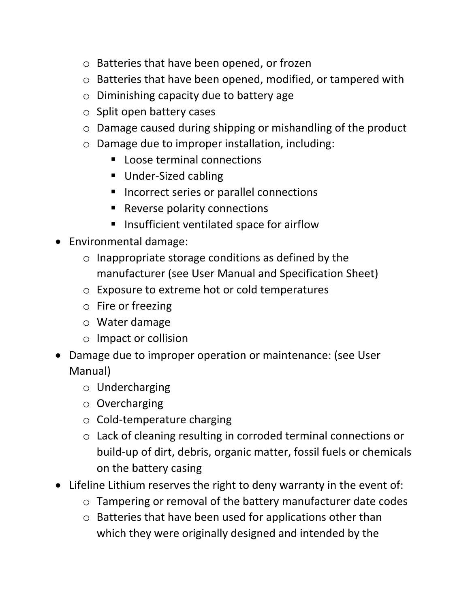- o Batteries that have been opened, or frozen
- o Batteries that have been opened, modified, or tampered with
- o Diminishing capacity due to battery age
- o Split open battery cases
- o Damage caused during shipping or mishandling of the product
- o Damage due to improper installation, including:
	- Loose terminal connections
	- Under-Sized cabling
	- Incorrect series or parallel connections
	- Reverse polarity connections
	- Insufficient ventilated space for airflow
- Environmental damage:
	- o Inappropriate storage conditions as defined by the manufacturer (see User Manual and Specification Sheet)
	- o Exposure to extreme hot or cold temperatures
	- o Fire or freezing
	- o Water damage
	- o Impact or collision
- Damage due to improper operation or maintenance: (see User Manual)
	- o Undercharging
	- o Overcharging
	- o Cold-temperature charging
	- o Lack of cleaning resulting in corroded terminal connections or build-up of dirt, debris, organic matter, fossil fuels or chemicals on the battery casing
- Lifeline Lithium reserves the right to deny warranty in the event of:
	- o Tampering or removal of the battery manufacturer date codes
	- o Batteries that have been used for applications other than which they were originally designed and intended by the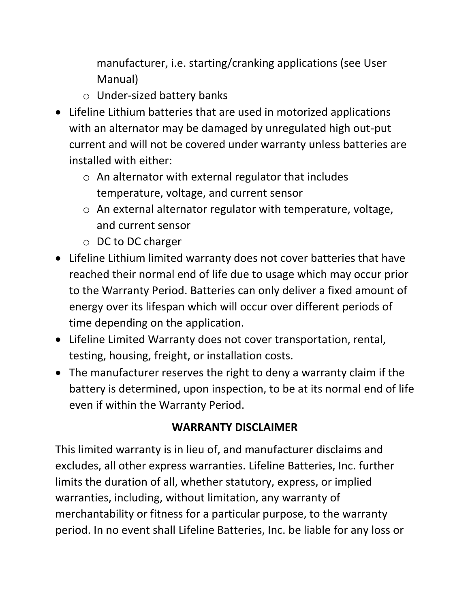manufacturer, i.e. starting/cranking applications (see User Manual)

- o Under-sized battery banks
- Lifeline Lithium batteries that are used in motorized applications with an alternator may be damaged by unregulated high out-put current and will not be covered under warranty unless batteries are installed with either:
	- o An alternator with external regulator that includes temperature, voltage, and current sensor
	- o An external alternator regulator with temperature, voltage, and current sensor
	- o DC to DC charger
- Lifeline Lithium limited warranty does not cover batteries that have reached their normal end of life due to usage which may occur prior to the Warranty Period. Batteries can only deliver a fixed amount of energy over its lifespan which will occur over different periods of time depending on the application.
- Lifeline Limited Warranty does not cover transportation, rental, testing, housing, freight, or installation costs.
- The manufacturer reserves the right to deny a warranty claim if the battery is determined, upon inspection, to be at its normal end of life even if within the Warranty Period.

### **WARRANTY DISCLAIMER**

This limited warranty is in lieu of, and manufacturer disclaims and excludes, all other express warranties. Lifeline Batteries, Inc. further limits the duration of all, whether statutory, express, or implied warranties, including, without limitation, any warranty of merchantability or fitness for a particular purpose, to the warranty period. In no event shall Lifeline Batteries, Inc. be liable for any loss or